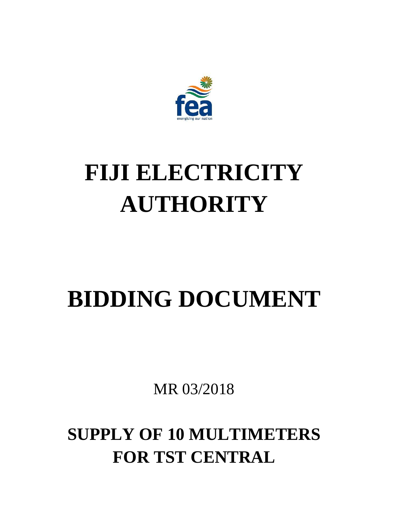

# **FIJI ELECTRICITY AUTHORITY**

## **BIDDING DOCUMENT**

MR 03/2018

**SUPPLY OF 10 MULTIMETERS FOR TST CENTRAL**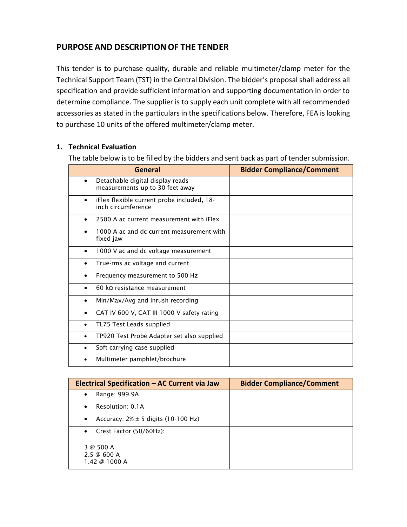## **PURPOSE AND DESCRIPTIONOF THE TENDER**

This tender is to purchase quality, durable and reliable multimeter/clamp meter for the Technical Support Team (TST) in the Central Division. The bidder's proposal shall address all specification and provide sufficient information and supporting documentation in order to determine compliance. The supplier is to supply each unit complete with all recommended accessories as stated in the particulars in the specifications below. Therefore, FEA is looking to purchase 10 units of the offered multimeter/clamp meter.

#### **1. Technical Evaluation**

The table below is to be filled by the bidders and sent back as part of tender submission.

| <b>General</b>                                                                   | <b>Bidder Compliance/Comment</b> |
|----------------------------------------------------------------------------------|----------------------------------|
| Detachable digital display reads<br>$\bullet$<br>measurements up to 30 feet away |                                  |
| iFlex flexible current probe included, 18-<br>inch circumference                 |                                  |
| 2500 A ac current measurement with iFlex                                         |                                  |
| 1000 A ac and dc current measurement with<br>fixed jaw                           |                                  |
| 1000 V ac and dc voltage measurement                                             |                                  |
| True-rms ac voltage and current                                                  |                                  |
| Frequency measurement to 500 Hz                                                  |                                  |
| 60 k $\Omega$ resistance measurement                                             |                                  |
| Min/Max/Avg and inrush recording<br>$\bullet$                                    |                                  |
| CAT IV 600 V, CAT III 1000 V safety rating                                       |                                  |
| TL75 Test Leads supplied                                                         |                                  |
| TP920 Test Probe Adapter set also supplied<br>$\bullet$                          |                                  |
| Soft carrying case supplied                                                      |                                  |
| Multimeter pamphlet/brochure                                                     |                                  |

| Electrical Specification - AC Current via Jaw         | <b>Bidder Compliance/Comment</b> |
|-------------------------------------------------------|----------------------------------|
| Range: 999.9A<br>$\bullet$                            |                                  |
| Resolution: 0.1A<br>$\bullet$                         |                                  |
| Accuracy: $2\% \pm 5$ digits (10-100 Hz)<br>$\bullet$ |                                  |
| Crest Factor (50/60Hz):<br>$\bullet$                  |                                  |
| 3 @ 500 A<br>2.5 @ 600 A<br>1.42 @ 1000 A             |                                  |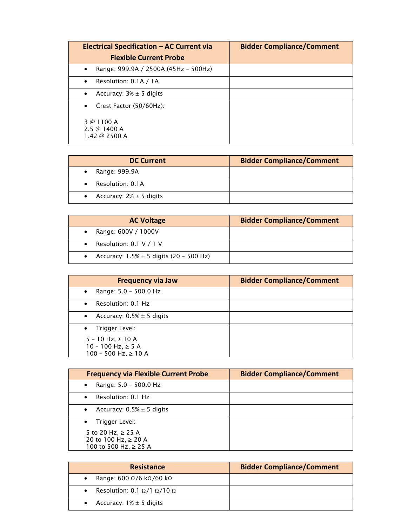| Electrical Specification - AC Current via         | <b>Bidder Compliance/Comment</b> |
|---------------------------------------------------|----------------------------------|
| <b>Flexible Current Probe</b>                     |                                  |
| Range: 999.9A / 2500A (45Hz - 500Hz)<br>$\bullet$ |                                  |
| Resolution: 0.1A / 1A<br>$\bullet$                |                                  |
| Accuracy: $3\% \pm 5$ digits<br>$\bullet$         |                                  |
| Crest Factor (50/60Hz):<br>$\bullet$              |                                  |
| 3 @ 1100 A<br>2.5 @ 1400 A<br>1.42 @ 2500 A       |                                  |

| <b>DC Current</b>              | <b>Bidder Compliance/Comment</b> |
|--------------------------------|----------------------------------|
| Range: 999.9A<br>$\bullet$     |                                  |
| Resolution: 0.1A<br>$\bullet$  |                                  |
| • Accuracy: $2\% \pm 5$ digits |                                  |

| <b>AC Voltage</b>                             | <b>Bidder Compliance/Comment</b> |
|-----------------------------------------------|----------------------------------|
| Range: 600V / 1000V<br>$\bullet$              |                                  |
| • Resolution: $0.1 V / 1 V$                   |                                  |
| • Accuracy: $1.5% \pm 5$ digits (20 - 500 Hz) |                                  |

| <b>Frequency via Jaw</b>                                                           | <b>Bidder Compliance/Comment</b> |
|------------------------------------------------------------------------------------|----------------------------------|
| Range: 5.0 - 500.0 Hz<br>$\bullet$                                                 |                                  |
| Resolution: 0.1 Hz<br>$\bullet$                                                    |                                  |
| Accuracy: $0.5% \pm 5$ digits<br>$\bullet$                                         |                                  |
| Trigger Level:<br>$\bullet$                                                        |                                  |
| $5 - 10$ Hz, $\ge 10$ A<br>$10 - 100$ Hz, $\geq 5$ A<br>$100 - 500$ Hz, $\ge 10$ A |                                  |

| <b>Frequency via Flexible Current Probe</b>                             | <b>Bidder Compliance/Comment</b> |
|-------------------------------------------------------------------------|----------------------------------|
| Range: 5.0 - 500.0 Hz<br>$\bullet$                                      |                                  |
| Resolution: 0.1 Hz                                                      |                                  |
| Accuracy: $0.5% \pm 5$ digits<br>$\bullet$                              |                                  |
| Trigger Level:<br>$\bullet$                                             |                                  |
| 5 to 20 Hz, $\ge$ 25 A<br>20 to 100 Hz, ≥ 20 A<br>100 to 500 Hz, ≥ 25 A |                                  |

| <b>Resistance</b>                             | <b>Bidder Compliance/Comment</b> |
|-----------------------------------------------|----------------------------------|
| Range: 600 Ω/6 kΩ/60 kΩ<br>$\bullet$          |                                  |
| • Resolution: 0.1 $\Omega/1 \Omega/10 \Omega$ |                                  |
| Accuracy: $1\% \pm 5$ digits<br>$\bullet$     |                                  |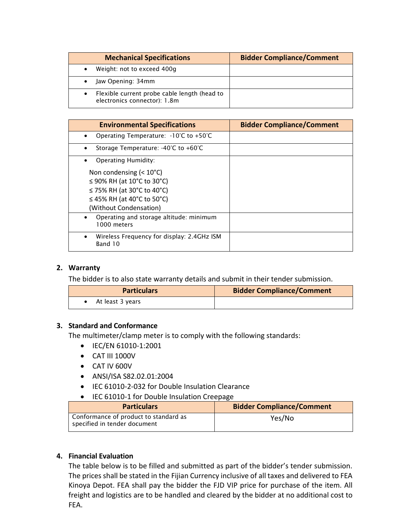| <b>Mechanical Specifications</b>                                             | <b>Bidder Compliance/Comment</b> |
|------------------------------------------------------------------------------|----------------------------------|
| Weight: not to exceed 400g                                                   |                                  |
| Jaw Opening: 34mm                                                            |                                  |
| Flexible current probe cable length (head to<br>electronics connector): 1.8m |                                  |

| <b>Environmental Specifications</b>                                | <b>Bidder Compliance/Comment</b> |
|--------------------------------------------------------------------|----------------------------------|
| Operating Temperature: -10°C to +50°C                              |                                  |
| Storage Temperature: -40°C to +60°C<br>$\bullet$                   |                                  |
| Operating Humidity:                                                |                                  |
| Non condensing $(< 10^{\circ}C)$                                   |                                  |
| $\leq$ 90% RH (at 10°C to 30°C)                                    |                                  |
| $\leq$ 75% RH (at 30°C to 40°C)                                    |                                  |
| $\leq$ 45% RH (at 40°C to 50°C)                                    |                                  |
| (Without Condensation)                                             |                                  |
| Operating and storage altitude: minimum<br>1000 meters             |                                  |
| Wireless Frequency for display: 2.4GHz ISM<br>$\bullet$<br>Band 10 |                                  |

#### **2. Warranty**

The bidder is to also state warranty details and submit in their tender submission.

| <b>Particulars</b> | <b>Bidder Compliance/Comment</b> |
|--------------------|----------------------------------|
| At least 3 years   |                                  |

#### **3. Standard and Conformance**

The multimeter/clamp meter is to comply with the following standards:

- IEC/EN 61010-1:2001
- CAT III 1000V
- CAT IV 600V
- ANSI/ISA S82.02.01:2004
- IEC 61010-2-032 for Double Insulation Clearance
- IEC 61010-1 for Double Insulation Creepage

| <b>Particulars</b>                                                    | <b>Bidder Compliance/Comment</b> |
|-----------------------------------------------------------------------|----------------------------------|
| Conformance of product to standard as<br>specified in tender document | Yes/No                           |

#### **4. Financial Evaluation**

The table below is to be filled and submitted as part of the bidder's tender submission. The prices shall be stated in the Fijian Currency inclusive of all taxes and delivered to FEA Kinoya Depot. FEA shall pay the bidder the FJD VIP price for purchase of the item. All freight and logistics are to be handled and cleared by the bidder at no additional cost to FEA.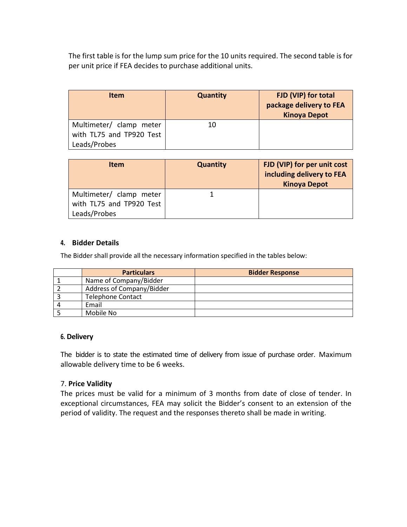The first table is for the lump sum price for the 10 units required. The second table is for per unit price if FEA decides to purchase additional units.

| Item                                                                | <b>Quantity</b> | FJD (VIP) for total<br>package delivery to FEA<br><b>Kinoya Depot</b> |
|---------------------------------------------------------------------|-----------------|-----------------------------------------------------------------------|
| Multimeter/ clamp meter<br>with TL75 and TP920 Test<br>Leads/Probes | 10              |                                                                       |

| Item                                                                | <b>Quantity</b> | FJD (VIP) for per unit cost<br>including delivery to FEA<br><b>Kinoya Depot</b> |
|---------------------------------------------------------------------|-----------------|---------------------------------------------------------------------------------|
| Multimeter/ clamp meter<br>with TL75 and TP920 Test<br>Leads/Probes |                 |                                                                                 |

#### **4. Bidder Details**

The Bidder shall provide all the necessary information specified in the tables below:

|   | <b>Particulars</b>        | <b>Bidder Response</b> |
|---|---------------------------|------------------------|
|   | Name of Company/Bidder    |                        |
|   | Address of Company/Bidder |                        |
|   | <b>Telephone Contact</b>  |                        |
| Δ | Email                     |                        |
|   | Mobile No                 |                        |

#### **6. Delivery**

The bidder is to state the estimated time of delivery from issue of purchase order. Maximum allowable delivery time to be 6 weeks.

#### 7. **Price Validity**

The prices must be valid for a minimum of 3 months from date of close of tender. In exceptional circumstances, FEA may solicit the Bidder's consent to an extension of the period of validity. The request and the responses thereto shall be made in writing.